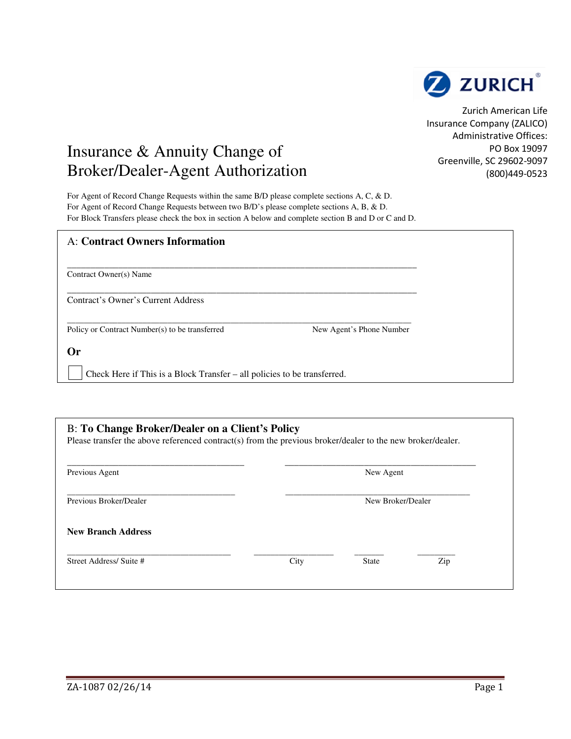

Zurich American Life Insurance Company (ZALICO) Administrative Offices: PO Box 19097 Greenville, SC 29602-9097 (800)449-0523

## Insurance & Annuity Change of Broker/Dealer-Agent Authorization

For Agent of Record Change Requests within the same B/D please complete sections A, C, & D. For Agent of Record Change Requests between two B/D's please complete sections A, B, & D. For Block Transfers please check the box in section A below and complete section B and D or C and D.

| <b>A: Contract Owners Information</b>                                    |                          |
|--------------------------------------------------------------------------|--------------------------|
| Contract Owner(s) Name                                                   |                          |
| Contract's Owner's Current Address                                       |                          |
| Policy or Contract Number(s) to be transferred                           | New Agent's Phone Number |
| Or                                                                       |                          |
| Check Here if This is a Block Transfer – all policies to be transferred. |                          |

| Previous Agent            |      | New Agent         |     |  |
|---------------------------|------|-------------------|-----|--|
| Previous Broker/Dealer    |      | New Broker/Dealer |     |  |
| <b>New Branch Address</b> |      |                   |     |  |
| Street Address/ Suite #   | City | <b>State</b>      | Zip |  |